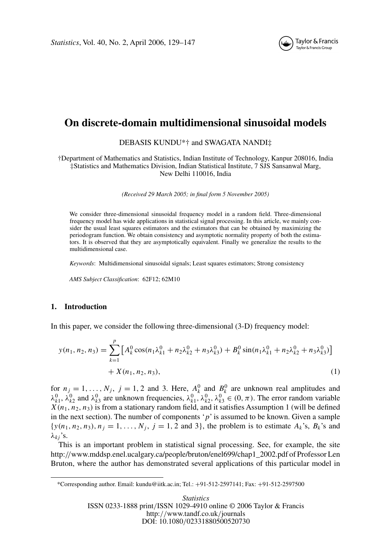

# **On discrete-domain multidimensional sinusoidal models**

## DEBASIS KUNDU\*† and SWAGATA NANDI‡

†Department of Mathematics and Statistics, Indian Institute of Technology, Kanpur 208016, India ‡Statistics and Mathematics Division, Indian Statistical Institute, 7 SJS Sansanwal Marg, New Delhi 110016, India

*(Received 29 March 2005; in final form 5 November 2005)*

We consider three-dimensional sinusoidal frequency model in a random field. Three-dimensional frequency model has wide applications in statistical signal processing. In this article, we mainly consider the usual least squares estimators and the estimators that can be obtained by maximizing the periodogram function. We obtain consistency and asymptotic normality property of both the estimators. It is observed that they are asymptotically equivalent. Finally we generalize the results to the multidimensional case.

*Keywords*: Multidimensional sinusoidal signals; Least squares estimators; Strong consistency

*AMS Subject Classification*: 62F12; 62M10

## **1. Introduction**

In this paper, we consider the following three-dimensional (3-D) frequency model:

$$
y(n_1, n_2, n_3) = \sum_{k=1}^{p} \left[ A_k^0 \cos(n_1 \lambda_{k1}^0 + n_2 \lambda_{k2}^0 + n_3 \lambda_{k3}^0) + B_k^0 \sin(n_1 \lambda_{k1}^0 + n_2 \lambda_{k2}^0 + n_3 \lambda_{k3}^0) \right] + X(n_1, n_2, n_3),
$$
\n(1)

for  $n_j = 1, \ldots, N_j$ ,  $j = 1, 2$  and 3. Here,  $A_k^0$  and  $B_k^0$  are unknown real amplitudes and  $λ_{k1}^0$ ,  $λ_{k2}^0$  and  $λ_{k3}^0$  are unknown frequencies,  $λ_{k1}^0$ ,  $λ_{k2}^0$ ,  $λ_{k3}^0$  ∈  $(0, π)$ . The error random variable  $X(n_1, n_2, n_3)$  is from a stationary random field, and it satisfies Assumption 1 (will be defined in the next section). The number of components '*p*' is assumed to be known. Given a sample  $\{y(n_1, n_2, n_3), n_j = 1, \ldots, N_j, j = 1, 2 \text{ and } 3\}$ , the problem is to estimate  $A_k$ 's,  $B_k$ 's and  $λ_{ki}$ 's.

This is an important problem in statistical signal processing. See, for example, the site http:*//*www.mddsp.enel.ucalgary.ca/people/bruton/enel699/chap1\_2002.pdf of Professor Len Bruton, where the author has demonstrated several applications of this particular model in

\*Corresponding author. Email: kundu@iitk.ac.in; Tel.: +91-512-2597141; Fax: +91-512-2597500

*Statistics* ISSN 0233-1888 print*/*ISSN 1029-4910 online © 2006 Taylor & Francis http:*//*www.tandf.co.uk*/*journals DOI: 10.1080*/*02331880500520730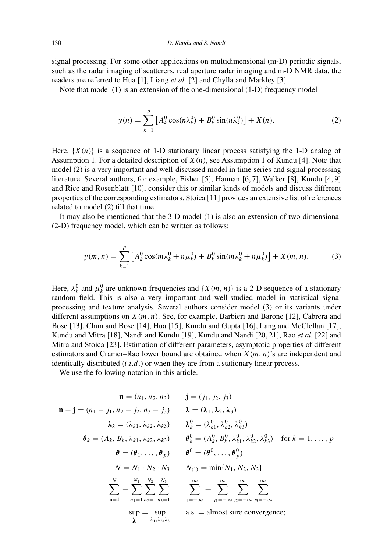signal processing. For some other applications on multidimensional (m-D) periodic signals, such as the radar imaging of scatterers, real aperture radar imaging and m-D NMR data, the readers are referred to Hua [1], Liang *et al.* [2] and Chylla and Markley [3].

Note that model (1) is an extension of the one-dimensional (1-D) frequency model

$$
y(n) = \sum_{k=1}^{p} \left[ A_k^0 \cos(n\lambda_k^0) + B_k^0 \sin(n\lambda_k^0) \right] + X(n). \tag{2}
$$

Here,  $\{X(n)\}\$ is a sequence of 1-D stationary linear process satisfying the 1-D analog of Assumption 1. For a detailed description of *X(n)*, see Assumption 1 of Kundu [4]. Note that model (2) is a very important and well-discussed model in time series and signal processing literature. Several authors, for example, Fisher [5], Hannan [6, 7], Walker [8], Kundu [4, 9] and Rice and Rosenblatt [10], consider this or similar kinds of models and discuss different properties of the corresponding estimators. Stoica [11] provides an extensive list of references related to model (2) till that time.

It may also be mentioned that the 3-D model (1) is also an extension of two-dimensional (2-D) frequency model, which can be written as follows:

$$
y(m, n) = \sum_{k=1}^{p} \left[ A_k^0 \cos(m\lambda_k^0 + n\mu_k^0) + B_k^0 \sin(m\lambda_k^0 + n\mu_k^0) \right] + X(m, n). \tag{3}
$$

Here,  $\lambda_k^0$  and  $\mu_k^0$  are unknown frequencies and  $\{X(m, n)\}\$ is a 2-D sequence of a stationary random field. This is also a very important and well-studied model in statistical signal processing and texture analysis. Several authors consider model (3) or its variants under different assumptions on *X(m, n)*. See, for example, Barbieri and Barone [12], Cabrera and Bose [13], Chun and Bose [14], Hua [15], Kundu and Gupta [16], Lang and McClellan [17], Kundu and Mitra [18], Nandi and Kundu [19], Kundu and Nandi [20, 21], Rao *et al.* [22] and Mitra and Stoica [23]. Estimation of different parameters, asymptotic properties of different estimators and Cramer–Rao lower bound are obtained when *X(m, n)*'s are independent and identically distributed (*i.i.d.*) or when they are from a stationary linear process.

We use the following notation in this article.

$$
\mathbf{n} = (n_1, n_2, n_3) \qquad \mathbf{j} = (j_1, j_2, j_3)
$$
\n
$$
\mathbf{n} - \mathbf{j} = (n_1 - j_1, n_2 - j_2, n_3 - j_3) \qquad \lambda = (\lambda_1, \lambda_2, \lambda_3)
$$
\n
$$
\lambda_k = (\lambda_{k1}, \lambda_{k2}, \lambda_{k3}) \qquad \lambda_k^0 = (\lambda_{k1}^0, \lambda_{k2}^0, \lambda_{k3}^0)
$$
\n
$$
\theta_k = (A_k, B_k, \lambda_{k1}, \lambda_{k2}, \lambda_{k3}) \qquad \theta_k^0 = (A_k^0, B_k^0, \lambda_{k1}^0, \lambda_{k2}^0, \lambda_{k3}^0) \quad \text{for } k = 1, ..., p
$$
\n
$$
\theta = (\theta_1, ..., \theta_p) \qquad \theta^0 = (\theta_1^0, ..., \theta_p^0)
$$
\n
$$
N = N_1 \cdot N_2 \cdot N_3 \qquad N_{(1)} = \min\{N_1, N_2, N_3\}
$$
\n
$$
\sum_{n=1}^N \sum_{n=1}^{N_1} \sum_{n=2}^{N_2} \sum_{n=1}^{N_3} \qquad \sum_{j=-\infty}^{\infty} \sum_{j_1=-\infty}^{\infty} \sum_{j_2=-\infty}^{\infty} \sum_{j_3=-\infty}^{\infty} \sum_{j_4=-\infty}^{\infty} \sum_{j_5=-\infty}^{\infty} \sum_{j_6=-\infty}^{\infty} \sum_{j_7=-\infty}^{\infty} \sum_{j_8=-\infty}^{\infty} \sum_{j_9=-\infty}^{\infty} \sum_{j_1=0}^{\infty} \sum_{j_1=0}^{\infty} \sum_{j_2=0}^{\infty} \sum_{j_3=0}^{\infty} \sum_{j_4=0}^{\infty} \sum_{j_5=0}^{\infty} \sum_{j_6=0}^{\infty} \sum_{j_7=0}^{\infty} \sum_{j_8=0}^{\infty} \sum_{j_9=0}^{\infty} \sum_{j_9=0}^{\infty} \sum_{j_9=0}^{\infty} \sum_{j_9=0}^{\infty
$$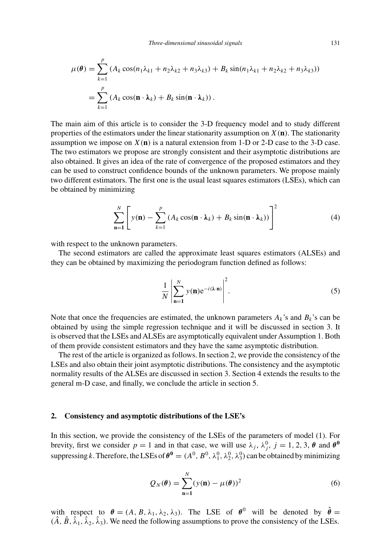$$
\mu(\theta) = \sum_{k=1}^{p} (A_k \cos(n_1 \lambda_{k1} + n_2 \lambda_{k2} + n_3 \lambda_{k3}) + B_k \sin(n_1 \lambda_{k1} + n_2 \lambda_{k2} + n_3 \lambda_{k3}))
$$
  
= 
$$
\sum_{k=1}^{p} (A_k \cos(\mathbf{n} \cdot \mathbf{\lambda}_k) + B_k \sin(\mathbf{n} \cdot \mathbf{\lambda}_k)).
$$

The main aim of this article is to consider the 3-D frequency model and to study different properties of the estimators under the linear stationarity assumption on  $X(\mathbf{n})$ . The stationarity assumption we impose on  $X(n)$  is a natural extension from 1-D or 2-D case to the 3-D case. The two estimators we propose are strongly consistent and their asymptotic distributions are also obtained. It gives an idea of the rate of convergence of the proposed estimators and they can be used to construct confidence bounds of the unknown parameters. We propose mainly two different estimators. The first one is the usual least squares estimators (LSEs), which can be obtained by minimizing

$$
\sum_{n=1}^{N} \left[ y(n) - \sum_{k=1}^{p} \left( A_k \cos(n \cdot \lambda_k) + B_k \sin(n \cdot \lambda_k) \right) \right]^2 \tag{4}
$$

with respect to the unknown parameters.

The second estimators are called the approximate least squares estimators (ALSEs) and they can be obtained by maximizing the periodogram function defined as follows:

$$
\frac{1}{N} \left| \sum_{n=1}^{N} y(n) e^{-i(\lambda \cdot n)} \right|^2.
$$
 (5)

Note that once the frequencies are estimated, the unknown parameters  $A_k$ 's and  $B_k$ 's can be obtained by using the simple regression technique and it will be discussed in section 3. It is observed that the LSEs and ALSEs are asymptotically equivalent under Assumption 1. Both of them provide consistent estimators and they have the same asymptotic distribution.

The rest of the article is organized as follows. In section 2, we provide the consistency of the LSEs and also obtain their joint asymptotic distributions. The consistency and the asymptotic normality results of the ALSEs are discussed in section 3. Section 4 extends the results to the general m-D case, and finally, we conclude the article in section 5.

## **2. Consistency and asymptotic distributions of the LSE's**

In this section, we provide the consistency of the LSEs of the parameters of model (1). For brevity, first we consider  $p = 1$  and in that case, we will use  $\lambda_j$ ,  $\lambda_j^0$ ,  $j = 1, 2, 3, \theta$  and  $\theta^0$ suppressing *k*. Therefore, the LSEs of  $\theta^0 = (A^0, B^0, \lambda_1^0, \lambda_2^0, \lambda_3^0)$  can be obtained by minimizing

$$
Q_N(\boldsymbol{\theta}) = \sum_{n=1}^N (y(n) - \mu(\boldsymbol{\theta}))^2
$$
 (6)

with respect to  $\theta = (A, B, \lambda_1, \lambda_2, \lambda_3)$ . The LSE of  $\theta^0$  will be denoted by  $\hat{\theta} =$  $(\hat{A}, \hat{B}, \hat{\lambda}_1, \hat{\lambda}_2, \hat{\lambda}_3)$ . We need the following assumptions to prove the consistency of the LSEs.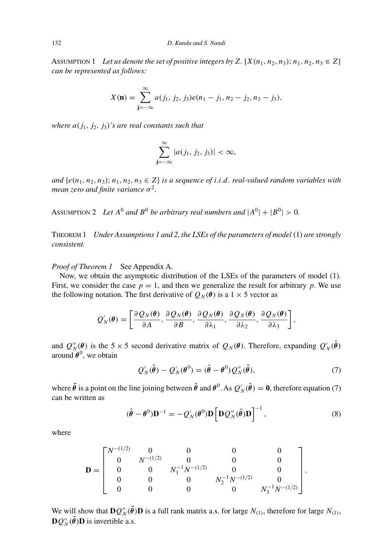ASSUMPTION 1 Let us denote the set of positive integers by Z.  $\{X(n_1, n_2, n_3); n_1, n_2, n_3 \in Z\}$ *can be represented as follows:*

$$
X(\mathbf{n}) = \sum_{\mathbf{j}=-\infty}^{\infty} a(j_1, j_2, j_3) e(n_1 - j_1, n_2 - j_2, n_3 - j_3),
$$

*where*  $a(j_1, j_2, j_3)$ *'s are real constants such that* 

$$
\sum_{j=-\infty}^{\infty} |a(j_1, j_2, j_3)| < \infty,
$$

*and*  $\{e(n_1, n_2, n_3)\}$ ;  $n_1, n_2, n_3 \in \mathbb{Z}\}$  *is a sequence of <i>i.i.d. real-valued random variables with mean zero and finite variance*  $\sigma^2$ .

ASSUMPTION 2 *Let*  $A^0$  *and*  $B^0$  *be arbitrary real numbers and*  $|A^0| + |B^0| > 0$ .

THEOREM 1 *Under Assumptions 1 and 2, the LSEs of the parameters of model(*1*) are strongly consistent.*

*Proof of Theorem 1* See Appendix A.

Now, we obtain the asymptotic distribution of the LSEs of the parameters of model (1). First, we consider the case  $p = 1$ , and then we generalize the result for arbitrary p. We use the following notation. The first derivative of  $Q_N(\theta)$  is a 1 × 5 vector as

$$
Q'_N(\boldsymbol{\theta}) = \left[ \frac{\partial Q_N(\boldsymbol{\theta})}{\partial A}, \frac{\partial Q_N(\boldsymbol{\theta})}{\partial B}, \frac{\partial Q_N(\boldsymbol{\theta})}{\partial \lambda_1}, \frac{\partial Q_N(\boldsymbol{\theta})}{\partial \lambda_2}, \frac{\partial Q_N(\boldsymbol{\theta})}{\partial \lambda_3} \right],
$$

and  $Q_N^{\prime\prime}(\theta)$  is the 5 × 5 second derivative matrix of  $Q_N(\theta)$ . Therefore, expanding  $Q_N^{\prime}(\hat{\theta})$ around  $\theta^0$ , we obtain

$$
Q'_N(\hat{\boldsymbol{\theta}}) - Q'_N(\boldsymbol{\theta}^0) = (\hat{\boldsymbol{\theta}} - \boldsymbol{\theta}^0) Q''_N(\bar{\boldsymbol{\theta}}), \tag{7}
$$

where  $\bar{\theta}$  is a point on the line joining between  $\hat{\theta}$  and  $\theta^0$ . As  $Q'_N(\hat{\theta}) = 0$ , therefore equation (7) can be written as

$$
(\hat{\boldsymbol{\theta}} - \boldsymbol{\theta}^0) \mathbf{D}^{-1} = -Q'_N(\boldsymbol{\theta}^0) \mathbf{D} \left[ \mathbf{D} Q''_N(\bar{\boldsymbol{\theta}}) \mathbf{D} \right]^{-1},\tag{8}
$$

where

$$
\mathbf{D} = \begin{bmatrix} N^{-(1/2)} & 0 & 0 & 0 & 0 \\ 0 & N^{-(1/2)} & 0 & 0 & 0 \\ 0 & 0 & N_1^{-1} N^{-(1/2)} & 0 & 0 \\ 0 & 0 & 0 & N_2^{-1} N^{-(1/2)} & 0 \\ 0 & 0 & 0 & 0 & N_3^{-1} N^{-(1/2)} \end{bmatrix}.
$$

We will show that  $DQ''_N(\bar{\theta})D$  is a full rank matrix a.s. for large  $N_{(1)}$ , therefore for large  $N_{(1)}$ ,  $\mathbf{D} \mathcal{Q}''_N(\bar{\boldsymbol{\theta}}) \mathbf{D}$  is invertible a.s.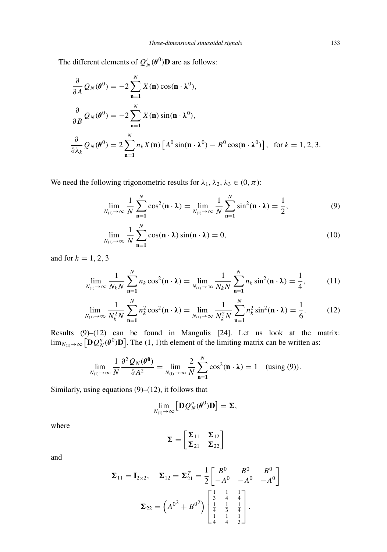The different elements of  $Q'_{N}(\boldsymbol{\theta}^{0})\mathbf{D}$  are as follows:

$$
\frac{\partial}{\partial A} Q_N(\theta^0) = -2 \sum_{n=1}^N X(n) \cos(n \cdot \lambda^0),
$$
  

$$
\frac{\partial}{\partial B} Q_N(\theta^0) = -2 \sum_{n=1}^N X(n) \sin(n \cdot \lambda^0),
$$
  

$$
\frac{\partial}{\partial \lambda_k} Q_N(\theta^0) = 2 \sum_{n=1}^N n_k X(n) [A^0 \sin(n \cdot \lambda^0) - B^0 \cos(n \cdot \lambda^0)], \text{ for } k = 1, 2, 3.
$$

We need the following trigonometric results for  $\lambda_1, \lambda_2, \lambda_3 \in (0, \pi)$ :

$$
\lim_{N_{(1)} \to \infty} \frac{1}{N} \sum_{n=1}^{N} \cos^2(\mathbf{n} \cdot \mathbf{\lambda}) = \lim_{N_{(1)} \to \infty} \frac{1}{N} \sum_{n=1}^{N} \sin^2(\mathbf{n} \cdot \mathbf{\lambda}) = \frac{1}{2},
$$
(9)

$$
\lim_{N_{(1)} \to \infty} \frac{1}{N} \sum_{n=1}^{N} \cos(n \cdot \lambda) \sin(n \cdot \lambda) = 0,
$$
\n(10)

and for  $k = 1, 2, 3$ 

$$
\lim_{N_{(1)}\to\infty}\frac{1}{N_kN}\sum_{n=1}^N n_k\cos^2(\mathbf{n}\cdot\mathbf{\lambda})=\lim_{N_{(1)}\to\infty}\frac{1}{N_kN}\sum_{n=1}^N n_k\sin^2(\mathbf{n}\cdot\mathbf{\lambda})=\frac{1}{4},\quad (11)
$$

$$
\lim_{N_{(1)} \to \infty} \frac{1}{N_k^2 N} \sum_{n=1}^N n_k^2 \cos^2(\mathbf{n} \cdot \mathbf{\lambda}) = \lim_{N_{(1)} \to \infty} \frac{1}{N_k^2 N} \sum_{n=1}^N n_k^2 \sin^2(\mathbf{n} \cdot \mathbf{\lambda}) = \frac{1}{6}.
$$
 (12)

Results (9)–(12) can be found in Mangulis [24]. Let us look at the matrix:  $\lim_{N_{(1)} \to \infty} [\mathbf{D}Q_N''(\boldsymbol{\theta}^0)\mathbf{D}]$ . The  $(1, 1)$ th element of the limiting matrix can be written as:

$$
\lim_{N_{(1)}\to\infty}\frac{1}{N}\frac{\partial^2 Q_N(\boldsymbol{\theta}^0)}{\partial A^2}=\lim_{N_{(1)}\to\infty}\frac{2}{N}\sum_{n=1}^N\cos^2(n\cdot\lambda)=1\quad\text{(using (9))}.
$$

Similarly, using equations  $(9)$ – $(12)$ , it follows that

$$
\lim_{N_{(1)}\to\infty}\left[\mathbf{D}Q''_N(\boldsymbol{\theta}^0)\mathbf{D}\right]=\boldsymbol{\Sigma},
$$

where

$$
\pmb{\Sigma} = \begin{bmatrix} \pmb{\Sigma}_{11} & \pmb{\Sigma}_{12} \\ \pmb{\Sigma}_{21} & \pmb{\Sigma}_{22} \end{bmatrix}
$$

and

$$
\mathbf{\Sigma}_{11} = \mathbf{I}_{2 \times 2}, \quad \mathbf{\Sigma}_{12} = \mathbf{\Sigma}_{21}^T = \frac{1}{2} \begin{bmatrix} B^0 & B^0 & B^0 \\ -A^0 & -A^0 & -A^0 \end{bmatrix}
$$

$$
\mathbf{\Sigma}_{22} = \left(A^{0^2} + B^{0^2}\right) \begin{bmatrix} \frac{1}{3} & \frac{1}{4} & \frac{1}{4} \\ \frac{1}{4} & \frac{1}{3} & \frac{1}{4} \\ \frac{1}{4} & \frac{1}{4} & \frac{1}{3} \end{bmatrix}.
$$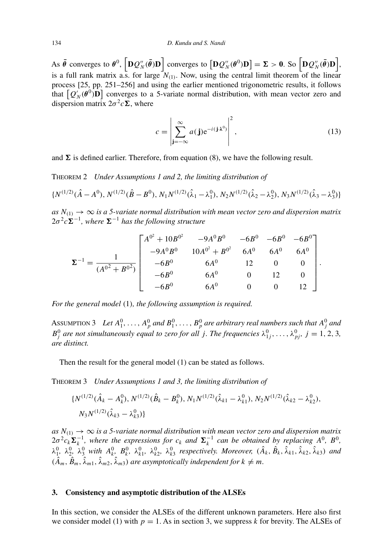As  $\bar{\theta}$  converges to  $\theta^0$ ,  $\left[\mathbf{D}Q_N''(\bar{\theta})\mathbf{D}\right]$  converges to  $\left[\mathbf{D}Q_N''(\theta^0)\mathbf{D}\right] = \mathbf{\Sigma} > 0$ . So  $\left[\mathbf{D}Q_N''(\bar{\theta})\mathbf{D}\right]$ , is a full rank matrix a.s. for large  $N_{(1)}$ . Now, using the central limit theorem of the linear process [25, pp. 251–256] and using the earlier mentioned trigonometric results, it follows that  $[Q'_N(\theta^0)$ **D** $]$  converges to a 5-variate normal distribution, with mean vector zero and dispersion matrix  $2\sigma^2 c \Sigma$ , where

$$
c = \left| \sum_{\mathbf{j} = -\infty}^{\infty} a(\mathbf{j}) e^{-i(\mathbf{j} \cdot \lambda^0)} \right|^2, \tag{13}
$$

and  $\Sigma$  is defined earlier. Therefore, from equation (8), we have the following result.

THEOREM 2 *Under Assumptions 1 and 2, the limiting distribution of*

$$
\{N^{(1/2)}(\hat{A}-A^0), N^{(1/2)}(\hat{B}-B^0), N_1N^{(1/2)}(\hat{\lambda}_1-\lambda_1^0), N_2N^{(1/2)}(\hat{\lambda}_2-\lambda_2^0), N_3N^{(1/2)}(\hat{\lambda}_3-\lambda_3^0)\}\
$$

 $as\ N_{(1)} \to \infty$  *is a 5-variate normal distribution with mean vector zero and dispersion matrix*  $2\sigma^2 c \Sigma^{-1}$ , where  $\Sigma^{-1}$  has the following structure

$$
\Sigma^{-1} = \frac{1}{(A^{0^2} + B^{0^2})} \begin{bmatrix} A^{0^2} + 10B^{0^2} & -9A^0B^0 & -6B^0 & -6B^0 & -6B^0 \\ -9A^0B^0 & 10A^{0^2} + B^{0^2} & 6A^0 & 6A^0 & 6A^0 \\ -6B^0 & 6A^0 & 12 & 0 & 0 \\ -6B^0 & 6A^0 & 0 & 12 & 0 \\ -6B^0 & 6A^0 & 0 & 0 & 12 \end{bmatrix}.
$$

*For the general model (*1*), the following assumption is required.*

ASSUMPTION 3 Let  $A_1^0, \ldots, A_p^0$  and  $B_1^0, \ldots, B_p^0$  are arbitrary real numbers such that  $A_j^0$  and *B*<sup>0</sup><sub>*j*</sub> are not simultaneously equal to zero for all *j*. The frequencies  $\lambda_{1j}^0, \ldots, \lambda_{pj}^0, j = 1, 2, 3$ , *are distinct.*

Then the result for the general model (1) can be stated as follows.

THEOREM 3 *Under Assumptions 1 and 3, the limiting distribution of*

$$
\{N^{(1/2)}(\hat{A}_k - A_k^0), N^{(1/2)}(\hat{B}_k - B_k^0), N_1N^{(1/2)}(\hat{\lambda}_{k1} - \lambda_{k1}^0), N_2N^{(1/2)}(\hat{\lambda}_{k2} - \lambda_{k2}^0), N_3N^{(1/2)}(\hat{\lambda}_{k3} - \lambda_{k3}^0)\}
$$

 $as\ N_{(1)}\to\infty$  is a 5-variate normal distribution with mean vector zero and dispersion matrix  $2\sigma^2 c_k \Sigma_k^{-1}$ , where the expressions for  $c_k$  and  $\Sigma_k^{-1}$  can be obtained by replacing  $A^0$ ,  $B^0$ ,  $\lambda_1^0$ ,  $\lambda_2^0$ ,  $\lambda_3^0$  with  $A_k^0$ ,  $B_k^0$ ,  $\lambda_{k1}^0$ ,  $\lambda_{k2}^0$ ,  $\lambda_{k3}^0$  respectively. Moreover,  $(\hat{A}_k, \hat{B}_k, \hat{\lambda}_{k1}, \hat{\lambda}_{k2}, \hat{\lambda}_{k3})$  and  $(\hat{A}_m, \hat{B}_m, \hat{\lambda}_{m1}, \hat{\lambda}_{m2}, \hat{\lambda}_{m3})$  *are asymptotically independent for*  $k \neq m$ *.* 

### **3. Consistency and asymptotic distribution of the ALSEs**

In this section, we consider the ALSEs of the different unknown parameters. Here also first we consider model (1) with  $p = 1$ . As in section 3, we suppress k for brevity. The ALSEs of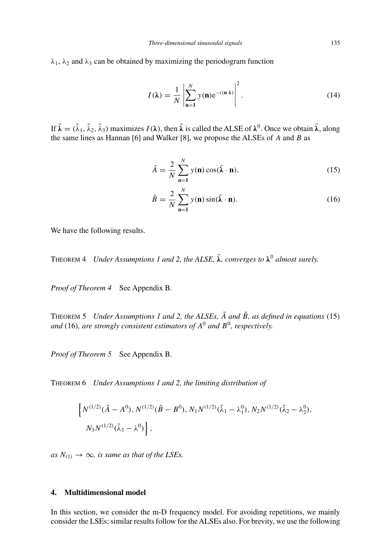$λ_1$ ,  $λ_2$  and  $λ_3$  can be obtained by maximizing the periodogram function

$$
I(\lambda) = \frac{1}{N} \left| \sum_{n=1}^{N} y(n) e^{-i(n\lambda)} \right|^2.
$$
 (14)

If  $\tilde{\lambda} = (\tilde{\lambda}_1, \tilde{\lambda}_2, \tilde{\lambda}_3)$  maximizes  $I(\lambda)$ , then  $\tilde{\lambda}$  is called the ALSE of  $\lambda^0$ . Once we obtain  $\tilde{\lambda}$ , along the same lines as Hannan [6] and Walker [8], we propose the ALSEs of *A* and *B* as

$$
\tilde{A} = \frac{2}{N} \sum_{n=1}^{N} y(n) \cos(\tilde{\lambda} \cdot n),
$$
\n(15)

$$
\tilde{B} = \frac{2}{N} \sum_{n=1}^{N} y(n) \sin(\tilde{\lambda} \cdot n).
$$
 (16)

We have the following results.

THEOREM 4 *Under Assumptions 1 and 2, the ALSE, λ*˜*, converges to λ*<sup>0</sup> *almost surely.*

*Proof of Theorem 4* See Appendix B.

THEOREM 5 *Under Assumptions 1 and 2, the ALSEs, A*˜ *and B*˜*, as defined in equations (*15*) and (*16*), are strongly consistent estimators of A*<sup>0</sup> *and B*<sup>0</sup>*, respectively.*

*Proof of Theorem 5* See Appendix B.

THEOREM 6 *Under Assumptions 1 and 2, the limiting distribution of*

$$
\left\{ N^{(1/2)}(\tilde{A} - A^0), N^{(1/2)}(\tilde{B} - B^0), N_1 N^{(1/2)}(\tilde{\lambda}_1 - \lambda_1^0), N_2 N^{(1/2)}(\tilde{\lambda}_2 - \lambda_2^0), N_3 N^{(1/2)}(\tilde{\lambda}_3 - \lambda_3^0) \right\},
$$

*as*  $N_{(1)} \rightarrow \infty$ *, is same as that of the LSEs.* 

## **4. Multidimensional model**

In this section, we consider the m-D frequency model. For avoiding repetitions, we mainly consider the LSEs; similar results follow for the ALSEs also. For brevity, we use the following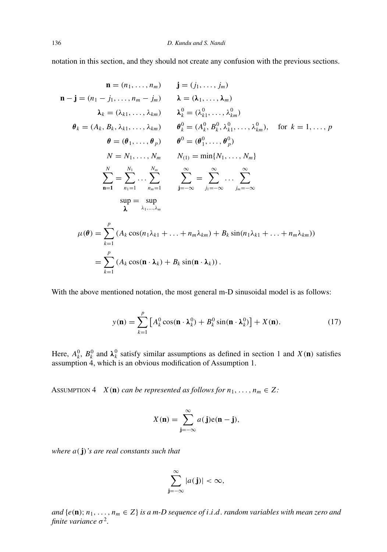notation in this section, and they should not create any confusion with the previous sections.

$$
\mathbf{n} = (n_1, \dots, n_m) \quad \mathbf{j} = (j_1, \dots, j_m)
$$
\n
$$
\mathbf{n} - \mathbf{j} = (n_1 - j_1, \dots, n_m - j_m) \quad \lambda = (\lambda_1, \dots, \lambda_m)
$$
\n
$$
\lambda_k = (\lambda_{k1}, \dots, \lambda_{km}) \quad \lambda_k^0 = (\lambda_{k1}^0, \dots, \lambda_{km}^0)
$$
\n
$$
\theta_k = (A_k, B_k, \lambda_{k1}, \dots, \lambda_{km}) \quad \theta_k^0 = (A_k^0, B_k^0, \lambda_{k1}^0, \dots, \lambda_{km}^0), \quad \text{for } k = 1, \dots, p
$$
\n
$$
\theta = (\theta_1, \dots, \theta_p) \quad \theta^0 = (\theta_1^0, \dots, \theta_p^0)
$$
\n
$$
N = N_1, \dots, N_m \quad N_{(1)} = \min\{N_1, \dots, N_m\}
$$
\n
$$
\sum_{n=1}^N = \sum_{n=1}^{N_1} \dots \sum_{n_m=1}^{N_m} \sum_{j=-\infty}^{\infty} \sum_{j_1=-\infty}^{\infty} \dots \sum_{j_m=-\infty}^{\infty}
$$
\n
$$
\sup \sum_{k=1}^{\infty} = \sup_{\lambda_1, \dots, \lambda_m} \sum_{j_k=-\infty}^{\infty} \sum_{j_k=-\infty}^{\infty} \sum_{j_k=-\infty}^{\infty} \dots \sum_{j_k=-\infty}^{\infty}
$$
\n
$$
\mu(\theta) = \sum_{k=1}^p (A_k \cos(n_1\lambda_{k1} + \dots + n_m\lambda_{km}) + B_k \sin(n_1\lambda_{k1} + \dots + n_m\lambda_{km}))
$$

With the above mentioned notation, the most general m-D sinusoidal model is as follows:

$$
y(\mathbf{n}) = \sum_{k=1}^{p} \left[ A_k^0 \cos(\mathbf{n} \cdot \mathbf{\lambda}_k^0) + B_k^0 \sin(\mathbf{n} \cdot \mathbf{\lambda}_k^0) \right] + X(\mathbf{n}).
$$
 (17)

Here,  $A_k^0$ ,  $B_k^0$  and  $\lambda_k^0$  satisfy similar assumptions as defined in section 1 and  $X(\mathbf{n})$  satisfies assumption 4, which is an obvious modification of Assumption 1.

ASSUMPTION 4 *X*(**n**) *can be represented as follows for*  $n_1, \ldots, n_m \in \mathbb{Z}$ :

$$
X(\mathbf{n}) = \sum_{\mathbf{j}=-\infty}^{\infty} a(\mathbf{j}) e(\mathbf{n} - \mathbf{j}),
$$

*where a(***j***)'s are real constants such that*

$$
\sum_{\mathbf{j}=-\infty}^{\infty} |a(\mathbf{j})| < \infty,
$$

*and*  $\{e(\mathbf{n}); n_1, \ldots, n_m \in \mathbb{Z}\}$  *is a m-D sequence of i.i.d. random variables with mean zero and finite variance*  $\sigma^2$ .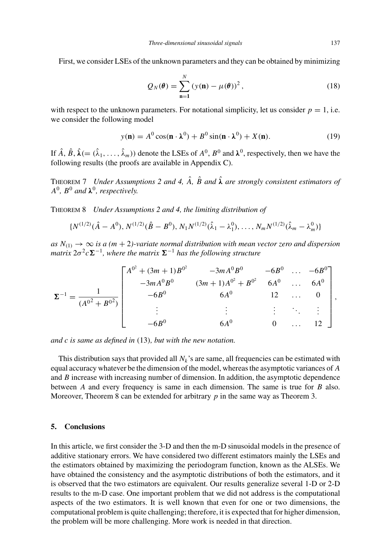First, we consider LSEs of the unknown parameters and they can be obtained by minimizing

$$
Q_N(\boldsymbol{\theta}) = \sum_{n=1}^N (y(n) - \mu(\boldsymbol{\theta}))^2, \qquad (18)
$$

with respect to the unknown parameters. For notational simplicity, let us consider  $p = 1$ , i.e. we consider the following model

$$
y(\mathbf{n}) = A^0 \cos(\mathbf{n} \cdot \mathbf{\lambda}^0) + B^0 \sin(\mathbf{n} \cdot \mathbf{\lambda}^0) + X(\mathbf{n}).
$$
 (19)

If  $\hat{A}$ ,  $\hat{B}$ ,  $\hat{\lambda}$ (=  $(\hat{\lambda}_1, \dots, \hat{\lambda}_m)$ ) denote the LSEs of  $A^0$ ,  $B^0$  and  $\lambda^0$ , respectively, then we have the following results (the proofs are available in Appendix C).

THEOREM 7 *Under Assumptions 2 and 4, A*ˆ*, B*ˆ *and λ*ˆ *are strongly consistent estimators of*  $A^0$ ,  $B^0$  *and*  $\lambda^0$ *, respectively.* 

THEOREM 8 *Under Assumptions 2 and 4, the limiting distribution of*

$$
\{N^{(1/2)}(\hat{A}-A^0), N^{(1/2)}(\hat{B}-B^0), N_1N^{(1/2)}(\hat{\lambda}_1-\lambda_1^0), \ldots, N_mN^{(1/2)}(\hat{\lambda}_m-\lambda_m^0)\}\
$$

 $as\ N_{(1)} \to \infty$  *is a (m + 2)-variate normal distribution with mean vector zero and dispersion matrix* 2*σ*<sup>2</sup>*c***Σ**<sup>−1</sup>*, where the matrix* **Σ**<sup>−1</sup> *has the following structure* 

$$
\Sigma^{-1} = \frac{1}{(A^{0^2} + B^{0^2})} \begin{bmatrix} A^{0^2} + (3m+1)B^{0^2} & -3mA^0B^0 & -6B^0 & \dots & -6B^0 \\ -3mA^0B^0 & (3m+1)A^{0^2} + B^{0^2} & 6A^0 & \dots & 6A^0 \\ -6B^0 & 6A^0 & 12 & \dots & 0 \\ \vdots & \vdots & \vdots & \ddots & \vdots \\ -6B^0 & 6A^0 & 0 & \dots & 12 \end{bmatrix},
$$

*and c is same as defined in (*13*), but with the new notation.*

This distribution says that provided all  $N_k$ 's are same, all frequencies can be estimated with equal accuracy whatever be the dimension of the model, whereas the asymptotic variances of *A* and *B* increase with increasing number of dimension. In addition, the asymptotic dependence between *A* and every frequency is same in each dimension. The same is true for *B* also. Moreover, Theorem 8 can be extended for arbitrary *p* in the same way as Theorem 3.

### **5. Conclusions**

In this article, we first consider the 3-D and then the m-D sinusoidal models in the presence of additive stationary errors. We have considered two different estimators mainly the LSEs and the estimators obtained by maximizing the periodogram function, known as the ALSEs. We have obtained the consistency and the asymptotic distributions of both the estimators, and it is observed that the two estimators are equivalent. Our results generalize several 1-D or 2-D results to the m-D case. One important problem that we did not address is the computational aspects of the two estimators. It is well known that even for one or two dimensions, the computational problem is quite challenging; therefore, it is expected that for higher dimension, the problem will be more challenging. More work is needed in that direction.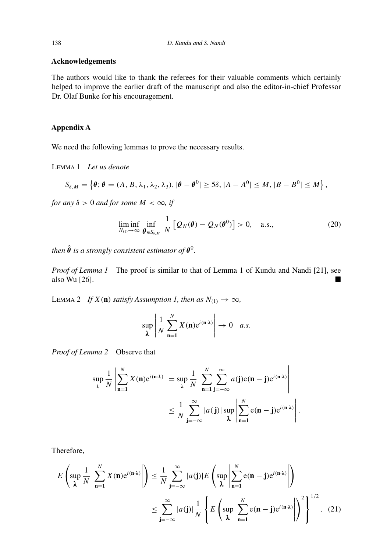## **Acknowledgements**

The authors would like to thank the referees for their valuable comments which certainly helped to improve the earlier draft of the manuscript and also the editor-in-chief Professor Dr. Olaf Bunke for his encouragement.

## **Appendix A**

We need the following lemmas to prove the necessary results.

LEMMA 1 *Let us denote*

$$
S_{\delta,M} = \left\{\boldsymbol{\theta}; \boldsymbol{\theta} = (A, B, \lambda_1, \lambda_2, \lambda_3), |\boldsymbol{\theta} - \boldsymbol{\theta}^0| \geq 5\delta, |A - A^0| \leq M, |B - B^0| \leq M \right\},\
$$

*for any*  $\delta > 0$  *and for some*  $M < \infty$ *, if* 

$$
\liminf_{N_{(1)}\to\infty}\inf_{\boldsymbol{\theta}\in S_{\delta,M}}\frac{1}{N}\left[Q_N(\boldsymbol{\theta})-Q_N(\boldsymbol{\theta}^0)\right]>0,\quad \text{a.s.,}\tag{20}
$$

*.*

*then*  $\hat{\boldsymbol{\theta}}$  *is a strongly consistent estimator of*  $\boldsymbol{\theta}^0$ .

*Proof of Lemma 1* The proof is similar to that of Lemma 1 of Kundu and Nandi [21], see also Wu [26].

LEMMA 2 *If*  $X(n)$  *satisfy Assumption 1, then as*  $N_{(1)} \rightarrow \infty$ *,* 

$$
\sup_{\lambda} \left| \frac{1}{N} \sum_{n=1}^{N} X(n) e^{i(n \cdot \lambda)} \right| \to 0 \quad a.s.
$$

*Proof of Lemma 2* Observe that

$$
\sup_{\lambda} \frac{1}{N} \left| \sum_{n=1}^{N} X(n) e^{i(n \cdot \lambda)} \right| = \sup_{\lambda} \frac{1}{N} \left| \sum_{n=1}^{N} \sum_{j=-\infty}^{\infty} a(j) e(n-j) e^{i(n \cdot \lambda)} \right|
$$
  

$$
\leq \frac{1}{N} \sum_{j=-\infty}^{\infty} |a(j)| \sup_{\lambda} \left| \sum_{n=1}^{N} e(n-j) e^{i(n \cdot \lambda)} \right|
$$

Therefore,

$$
E\left(\sup_{\lambda} \frac{1}{N} \left| \sum_{n=1}^{N} X(n) e^{i(n \cdot \lambda)} \right| \right) \leq \frac{1}{N} \sum_{j=-\infty}^{\infty} |a(j)| E\left(\sup_{\lambda} \left| \sum_{n=1}^{N} e(n-j) e^{i(n \cdot \lambda)} \right| \right)
$$
  

$$
\leq \sum_{j=-\infty}^{\infty} |a(j)| \frac{1}{N} \left\{ E\left(\sup_{\lambda} \left| \sum_{n=1}^{N} e(n-j) e^{i(n \cdot \lambda)} \right| \right)^2 \right\}^{1/2}.
$$
 (21)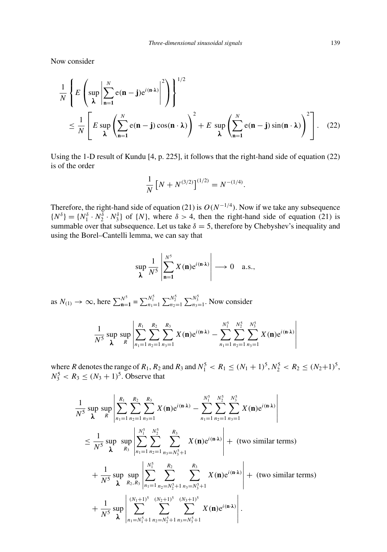Now consider

$$
\frac{1}{N} \left\{ E \left( \sup_{\lambda} \left| \sum_{n=1}^{N} e(n-j) e^{i(n \cdot \lambda)} \right|^2 \right) \right\}^{1/2}
$$
\n
$$
\leq \frac{1}{N} \left[ E \sup_{\lambda} \left( \sum_{n=1}^{N} e(n-j) \cos(n \cdot \lambda) \right)^2 + E \sup_{\lambda} \left( \sum_{n=1}^{N} e(n-j) \sin(n \cdot \lambda) \right)^2 \right]. \quad (22)
$$

Using the 1-D result of Kundu [4, p. 225], it follows that the right-hand side of equation (22) is of the order

$$
\frac{1}{N} \left[ N + N^{(3/2)} \right]^{(1/2)} = N^{-(1/4)}.
$$

Therefore, the right-hand side of equation (21) is *O(N*<sup>−</sup>1*/*<sup>4</sup>*)*. Now if we take any subsequence  $\{N^{\delta}\}=\{N_1^{\delta}\cdot N_2^{\delta}\cdot N_3^{\delta}\}\$  of  $\{N\}$ , where  $\delta > 4$ , then the right-hand side of equation (21) is summable over that subsequence. Let us take  $\delta = 5$ , therefore by Chebyshev's inequality and using the Borel–Cantelli lemma, we can say that

$$
\sup_{\lambda} \frac{1}{N^5} \left| \sum_{n=1}^{N^5} X(n) e^{i(n \cdot \lambda)} \right| \longrightarrow 0 \quad \text{a.s.},
$$

as  $N_{(1)} \to \infty$ , here  $\sum_{n=1}^{N^5} \sum_{n=1}^{N^5} \sum_{n=1}^{N^5} \sum_{n=1}^{N^5}$ . Now consider

$$
\frac{1}{N^5} \sup_{\lambda} \sup_{R} \left| \sum_{n_1=1}^{R_1} \sum_{n_2=1}^{R_2} \sum_{n_3=1}^{R_3} X(\mathbf{n}) e^{i(\mathbf{n} \cdot \lambda)} - \sum_{n_1=1}^{N_1^5} \sum_{n_2=1}^{N_2^5} \sum_{n_3=1}^{N_3^5} X(\mathbf{n}) e^{i(\mathbf{n} \cdot \lambda)} \right|
$$

where *R* denotes the range of  $R_1$ ,  $R_2$  and  $R_3$  and  $N_1^5 < R_1 \le (N_1 + 1)^5$ ,  $N_2^5 < R_2 \le (N_2 + 1)^5$ ,  $N_3^5 < R_3 \le (N_3 + 1)^5$ . Observe that

$$
\frac{1}{N^5} \sup_{\lambda} \sup_{R} \left| \sum_{n_1=1}^{R_1} \sum_{n_2=1}^{R_2} \sum_{n_3=1}^{R_3} X(\mathbf{n}) e^{i(\mathbf{n} \cdot \lambda)} - \sum_{n_1=1}^{N_1^5} \sum_{n_2=1}^{N_2^5} \sum_{n_3=1}^{N_3^5} X(\mathbf{n}) e^{i(\mathbf{n} \cdot \lambda)} \right|
$$
\n
$$
\leq \frac{1}{N^5} \sup_{\lambda} \sup_{R_3} \left| \sum_{n_1=1}^{N_1^5} \sum_{n_2=1}^{N_2^5} \sum_{n_3=N_3^5+1}^{R_3} X(\mathbf{n}) e^{i(\mathbf{n} \cdot \lambda)} \right| + (\text{two similar terms})
$$
\n
$$
+ \frac{1}{N^5} \sup_{\lambda} \sup_{R_2, R_3} \left| \sum_{n_1=1}^{N_1^5} \sum_{n_2=N_2^5+1}^{R_2} \sum_{n_3=N_3^5+1}^{R_3} X(\mathbf{n}) e^{i(\mathbf{n} \cdot \lambda)} \right| + (\text{two similar terms})
$$
\n
$$
+ \frac{1}{N^5} \sup_{\lambda} \left| \sum_{n_1=N_1^5+1}^{(N_1+1)^5} \sum_{n_2=N_2^5+1}^{(N_2+1)^5} \sum_{n_3=N_3^5+1}^{(N_3+1)^5} X(\mathbf{n}) e^{i(\mathbf{n} \cdot \lambda)} \right|.
$$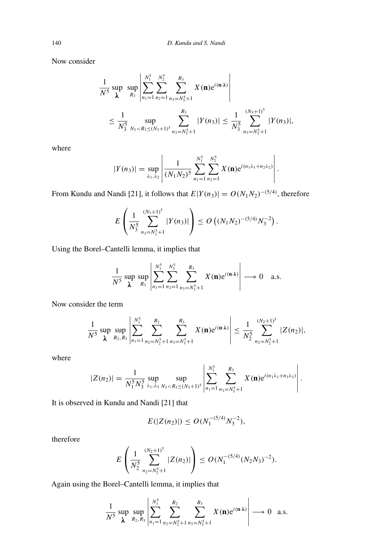Now consider

$$
\frac{1}{N^5} \sup_{\lambda} \sup_{R_3} \left| \sum_{n_1=1}^{N_1^5} \sum_{n_2=1}^{N_2^5} \sum_{n_3=N_3^5+1}^{R_3} X(\mathbf{n}) e^{i(\mathbf{n} \cdot \lambda)} \right|
$$
  

$$
\leq \frac{1}{N_3^5} \sup_{N_3 < R_3 \leq (N_3+1)^5} \sum_{n_3=N_3^5+1}^{R_3} |Y(n_3)| \leq \frac{1}{N_3^5} \sum_{n_3=N_3^5+1}^{(N_3+1)^5} |Y(n_3)|,
$$

where

$$
|Y(n_3)| = \sup_{\lambda_1, \lambda_2} \left| \frac{1}{(N_1 N_2)^5} \sum_{n_1=1}^{N_1^5} \sum_{n_2=1}^{N_2^5} X(\mathbf{n}) e^{i(n_1 \lambda_1 + n_2 \lambda_2)} \right|.
$$

From Kundu and Nandi [21], it follows that  $E|Y(n_3)| = O(N_1N_2)^{-(5/4)}$ , therefore

$$
E\left(\frac{1}{N_3^5}\sum_{n_3=N_3^5+1}^{(N_3+1)^5}|Y(n_3)|\right)\leq O\left((N_1N_2)^{-(5/4)}N_3^{-2}\right).
$$

Using the Borel–Cantelli lemma, it implies that

$$
\frac{1}{N^5} \sup_{\lambda} \sup_{R_3} \left| \sum_{n_1=1}^{N_1^5} \sum_{n_2=1}^{N_2^5} \sum_{n_3=N_3^5+1}^{R_3} X(\mathbf{n}) e^{i(\mathbf{n} \cdot \lambda)} \right| \longrightarrow 0 \quad \text{a.s.}
$$

Now consider the term

$$
\frac{1}{N^5}\sup_{\lambda}\sup_{R_2,R_3}\left|\sum_{n_1=1}^{N_1^5}\sum_{n_2=N_2^5+1}^{R_2}\sum_{n_3=N_3^5+1}^{R_3}X(\mathbf{n})e^{i(\mathbf{n}\cdot\lambda)}\right|\leq \frac{1}{N_2^5}\sum_{n_2=N_2^5+1}^{(N_2+1)^5}|Z(n_2)|,
$$

where

$$
|Z(n_2)| = \frac{1}{N_1^5 N_3^5} \sup_{\lambda_1, \lambda_3} \sup_{N_3 < R_3 \le (N_3+1)^5} \left| \sum_{n_1=1}^{N_1^5} \sum_{n_3=N_3^5+1}^{R_3} X(\mathbf{n}) e^{i(n_1\lambda_1+n_3\lambda_3)} \right|.
$$

 $\overline{1}$ 

It is observed in Kundu and Nandi [21] that

$$
E(|Z(n_2)|) \le O(N_1^{-(5/4)}N_3^{-2}),
$$

therefore

$$
E\left(\frac{1}{N_2^5}\sum_{n_2=N_2^5+1}^{(N_2+1)^5}|Z(n_2)|\right)\leq O(N_1^{-(5/4)}(N_2N_3)^{-2}).
$$

Again using the Borel–Cantelli lemma, it implies that

 $\overline{1}$ 

$$
\frac{1}{N^5} \sup_{\lambda} \sup_{R_2, R_3} \left| \sum_{n_1=1}^{N_1^5} \sum_{n_2=N_2^5+1}^{R_2} \sum_{n_3=N_3^5+1}^{R_3} X(\mathbf{n}) e^{i(\mathbf{n} \cdot \lambda)} \right| \longrightarrow 0 \text{ a.s.}
$$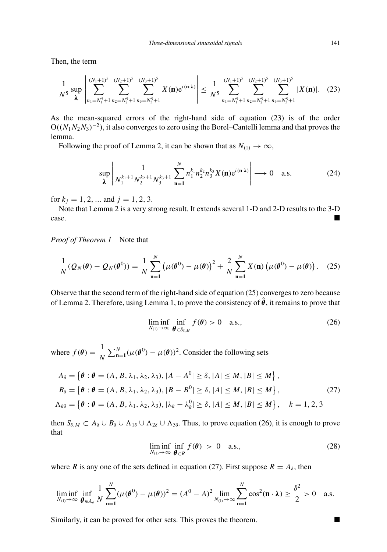Then, the term

$$
\frac{1}{N^5} \sup_{\lambda} \left| \sum_{n_1=N_1^5+1}^{(N_1+1)^5} \sum_{n_2=N_2^5+1}^{(N_2+1)^5} \sum_{n_3=N_3^5+1}^{(N_3+1)^5} X(\mathbf{n}) e^{i(\mathbf{n}\cdot\lambda)} \right| \le \frac{1}{N^5} \sum_{n_1=N_1^5+1}^{(N_1+1)^5} \sum_{n_2=N_2^5+1}^{(N_2+1)^5} \sum_{n_3=N_3^5+1}^{(N_3+1)^5} |X(\mathbf{n})|.
$$
 (23)

As the mean-squared errors of the right-hand side of equation (23) is of the order O*((N*1*N*2*N*3*)*−2*)*, it also converges to zero using the Borel–Cantelli lemma and that proves the lemma.

Following the proof of Lemma 2, it can be shown that as  $N_{(1)} \rightarrow \infty$ ,

$$
\sup_{\lambda} \left| \frac{1}{N_1^{k_1+1} N_2^{k_2+1} N_3^{k_3+1}} \sum_{n=1}^N n_1^{k_1} n_2^{k_2} n_3^{k_3} X(n) e^{i(n \cdot \lambda)} \right| \longrightarrow 0 \quad \text{a.s.}
$$
 (24)

for  $k_j = 1, 2, ...$  and  $j = 1, 2, 3$ .

Note that Lemma 2 is a very strong result. It extends several 1-D and 2-D results to the 3-D case.

*Proof of Theorem 1* Note that

$$
\frac{1}{N} (Q_N(\theta) - Q_N(\theta^0)) = \frac{1}{N} \sum_{n=1}^N (\mu(\theta^0) - \mu(\theta))^2 + \frac{2}{N} \sum_{n=1}^N X(n) (\mu(\theta^0) - \mu(\theta)).
$$
 (25)

Observe that the second term of the right-hand side of equation (25) converges to zero because of Lemma 2. Therefore, using Lemma 1, to prove the consistency of  $\hat{\theta}$ , it remains to prove that

$$
\liminf_{N_{(1)} \to \infty} \inf_{\boldsymbol{\theta} \in S_{\delta,M}} f(\boldsymbol{\theta}) > 0 \quad \text{a.s.},\tag{26}
$$

where  $f(\theta) = \frac{1}{N} \sum_{n=1}^{N} (\mu(\theta^0) - \mu(\theta))^2$ . Consider the following sets

$$
A_{\delta} = \left\{ \theta : \theta = (A, B, \lambda_1, \lambda_2, \lambda_3), |A - A^0| \ge \delta, |A| \le M, |B| \le M \right\},
$$
  
\n
$$
B_{\delta} = \left\{ \theta : \theta = (A, B, \lambda_1, \lambda_2, \lambda_3), |B - B^0| \ge \delta, |A| \le M, |B| \le M \right\},
$$
  
\n
$$
\Lambda_{k\delta} = \left\{ \theta : \theta = (A, B, \lambda_1, \lambda_2, \lambda_3), |\lambda_k - \lambda_k^0| \ge \delta, |A| \le M, |B| \le M \right\}, \quad k = 1, 2, 3
$$
\n(27)

then  $S_{\delta,M} \subset A_{\delta} \cup B_{\delta} \cup \Lambda_{1\delta} \cup \Lambda_{2\delta} \cup \Lambda_{3\delta}$ . Thus, to prove equation (26), it is enough to prove that

$$
\liminf_{N_{(1)} \to \infty} \inf_{\theta \in R} f(\theta) > 0 \quad \text{a.s.,}
$$
\n(28)

where *R* is any one of the sets defined in equation (27). First suppose  $R = A_{\delta}$ , then

$$
\liminf_{N_{(1)}\to\infty}\inf_{\theta\in A_{\delta}}\frac{1}{N}\sum_{n=1}^{N}(\mu(\theta^{0})-\mu(\theta))^{2}=(A^{0}-A)^{2}\lim_{N_{(1)}\to\infty}\sum_{n=1}^{N}\cos^{2}(\mathbf{n}\cdot\lambda)\geq\frac{\delta^{2}}{2}>0\quad a.s.
$$

Similarly, it can be proved for other sets. This proves the theorem.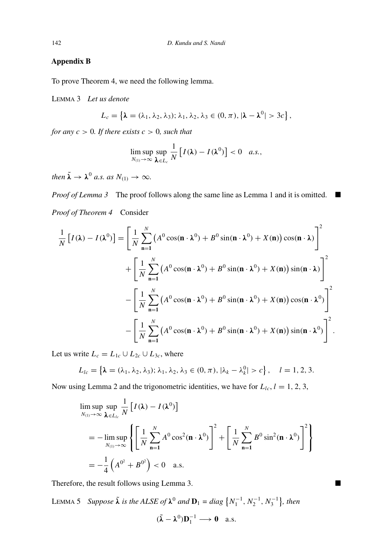## **Appendix B**

To prove Theorem 4, we need the following lemma.

LEMMA 3 *Let us denote*

$$
L_c = \left\{ \lambda = (\lambda_1, \lambda_2, \lambda_3); \lambda_1, \lambda_2, \lambda_3 \in (0, \pi), |\lambda - \lambda^0| > 3c \right\},\,
$$

*for any*  $c > 0$ *. If there exists*  $c > 0$ *, such that* 

$$
\limsup_{N_{(1)}\to\infty}\sup_{\pmb{\lambda}\in L_c}\frac{1}{N}\left[I(\pmb{\lambda})-I(\pmb{\lambda}^0)\right]<0\quad a.s.,
$$

*then*  $\tilde{\lambda} \rightarrow \lambda^0$  *a.s. as*  $N_{(1)} \rightarrow \infty$ .

*Proof of Lemma 3* The proof follows along the same line as Lemma 1 and it is omitted. ■ *Proof of Theorem 4* Consider

$$
\frac{1}{N}\left[I(\lambda) - I(\lambda^{0})\right] = \left[\frac{1}{N}\sum_{n=1}^{N}\left(A^{0}\cos(\mathbf{n}\cdot\lambda^{0}) + B^{0}\sin(\mathbf{n}\cdot\lambda^{0}) + X(\mathbf{n})\right)\cos(\mathbf{n}\cdot\lambda)\right]^{2} + \left[\frac{1}{N}\sum_{n=1}^{N}\left(A^{0}\cos(\mathbf{n}\cdot\lambda^{0}) + B^{0}\sin(\mathbf{n}\cdot\lambda^{0}) + X(\mathbf{n})\right)\sin(\mathbf{n}\cdot\lambda)\right]^{2} - \left[\frac{1}{N}\sum_{n=1}^{N}\left(A^{0}\cos(\mathbf{n}\cdot\lambda^{0}) + B^{0}\sin(\mathbf{n}\cdot\lambda^{0}) + X(\mathbf{n})\right)\cos(\mathbf{n}\cdot\lambda^{0})\right]^{2} - \left[\frac{1}{N}\sum_{n=1}^{N}\left(A^{0}\cos(\mathbf{n}\cdot\lambda^{0}) + B^{0}\sin(\mathbf{n}\cdot\lambda^{0}) + X(\mathbf{n})\right)\sin(\mathbf{n}\cdot\lambda^{0})\right]^{2}.
$$

Let us write  $L_c = L_{1c} \cup L_{2c} \cup L_{3c}$ , where

$$
L_{lc} = \left\{ \lambda = (\lambda_1, \lambda_2, \lambda_3); \lambda_1, \lambda_2, \lambda_3 \in (0, \pi), |\lambda_k - \lambda_k^0| > c \right\}, \quad l = 1, 2, 3.
$$

Now using Lemma 2 and the trigonometric identities, we have for  $L_{lc}$ ,  $l = 1, 2, 3$ ,

$$
\limsup_{N_{(1)} \to \infty} \sup_{\boldsymbol{\lambda} \in L_{lc}} \frac{1}{N} \left[ I(\boldsymbol{\lambda}) - I(\boldsymbol{\lambda}^{0}) \right]
$$
\n
$$
= -\limsup_{N_{(1)} \to \infty} \left\{ \left[ \frac{1}{N} \sum_{n=1}^{N} A^{0} \cos^{2}(\mathbf{n} \cdot \boldsymbol{\lambda}^{0}) \right]^{2} + \left[ \frac{1}{N} \sum_{n=1}^{N} B^{0} \sin^{2}(\mathbf{n} \cdot \boldsymbol{\lambda}^{0}) \right]^{2} \right\}
$$
\n
$$
= -\frac{1}{4} \left( A^{0^{2}} + B^{0^{2}} \right) < 0 \quad \text{a.s.}
$$

Therefore, the result follows using Lemma 3.

LEMMA 5 *Suppose*  $\tilde{\lambda}$  *is the ALSE of*  $\lambda^0$  *and*  $\mathbf{D}_1 = diag\left\{N_1^{-1}, N_2^{-1}, N_3^{-1}\right\}$ *, then*  $(\tilde{\lambda} - \lambda^0) \mathbf{D}_1^{-1} \longrightarrow \mathbf{0}$  a.s.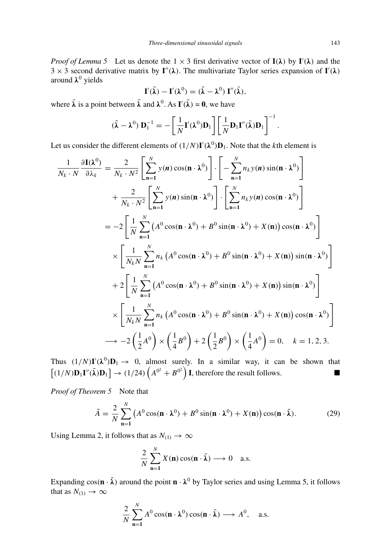*Proof of Lemma 5* Let us denote the  $1 \times 3$  first derivative vector of  $I(\lambda)$  by  $I'(\lambda)$  and the  $3 \times 3$  second derivative matrix by  $I''(\lambda)$ . The multivariate Taylor series expansion of  $I'(\lambda)$ around *λ*<sup>0</sup> yields

$$
\mathbf{I}'(\tilde{\lambda}) - \mathbf{I}'(\lambda^0) = (\tilde{\lambda} - \lambda^0) \mathbf{I}''(\bar{\lambda}),
$$

where  $\bar{\lambda}$  is a point between  $\tilde{\lambda}$  and  $\lambda^0$ . As  $\mathbf{I}'(\tilde{\lambda}) = \mathbf{0}$ , we have

$$
(\tilde{\boldsymbol{\lambda}} - \boldsymbol{\lambda}^0) \, \mathbf{D}_1^{-1} = -\left[\frac{1}{N} \mathbf{I}'(\boldsymbol{\lambda}^0) \mathbf{D}_1\right] \left[\frac{1}{N} \mathbf{D}_1 \mathbf{I}''(\bar{\boldsymbol{\lambda}}) \mathbf{D}_1\right]^{-1}
$$

Let us consider the different elements of  $(1/N)I'(\lambda^0)D_1$ . Note that the *k*th element is

$$
\frac{1}{N_k \cdot N} \frac{\partial \mathbf{I}(\lambda^0)}{\partial \lambda_k} = \frac{2}{N_k \cdot N^2} \left[ \sum_{n=1}^N y(n) \cos(n \cdot \lambda^0) \right] \cdot \left[ -\sum_{n=1}^N n_k y(n) \sin(n \cdot \lambda^0) \right]
$$
  
+ 
$$
\frac{2}{N_k \cdot N^2} \left[ \sum_{n=1}^N y(n) \sin(n \cdot \lambda^0) \right] \cdot \left[ \sum_{n=1}^N n_k y(n) \cos(n \cdot \lambda^0) \right]
$$
  
= 
$$
-2 \left[ \frac{1}{N} \sum_{n=1}^N \left( A^0 \cos(n \cdot \lambda^0) + B^0 \sin(n \cdot \lambda^0) + X(n) \right) \cos(n \cdot \lambda^0) \right]
$$
  

$$
\times \left[ \frac{1}{N_k N} \sum_{n=1}^N n_k \left( A^0 \cos(n \cdot \lambda^0) + B^0 \sin(n \cdot \lambda^0) + X(n) \right) \sin(n \cdot \lambda^0) \right]
$$
  
+ 
$$
2 \left[ \frac{1}{N} \sum_{n=1}^N \left( A^0 \cos(n \cdot \lambda^0) + B^0 \sin(n \cdot \lambda^0) + X(n) \right) \sin(n \cdot \lambda^0) \right]
$$
  

$$
\times \left[ \frac{1}{N_k N} \sum_{n=1}^N n_k \left( A^0 \cos(n \cdot \lambda^0) + B^0 \sin(n \cdot \lambda^0) + X(n) \right) \cos(n \cdot \lambda^0) \right]
$$
  

$$
\rightarrow -2 \left( \frac{1}{2} A^0 \right) \times \left( \frac{1}{4} B^0 \right) + 2 \left( \frac{1}{2} B^0 \right) \times \left( \frac{1}{4} A^0 \right) = 0, \quad k = 1, 2, 3.
$$

Thus  $(1/N)I'(\lambda^0)D_1 \rightarrow 0$ , almost surely. In a similar way, it can be shown that  $[(1/N)\mathbf{D}_1\mathbf{I}''(\bar{\boldsymbol{\lambda}})\mathbf{D}_1] \rightarrow (1/24)\left(A^{0^2}+B^{0^2}\right)\mathbf{I}$ , therefore the result follows.

*Proof of Theorem 5* Note that

$$
\tilde{A} = \frac{2}{N} \sum_{n=1}^{N} \left( A^0 \cos(\mathbf{n} \cdot \mathbf{\lambda}^0) + B^0 \sin(\mathbf{n} \cdot \mathbf{\lambda}^0) + X(\mathbf{n}) \right) \cos(\mathbf{n} \cdot \tilde{\mathbf{\lambda}}). \tag{29}
$$

Using Lemma 2, it follows that as  $N_{(1)} \rightarrow \infty$ 

$$
\frac{2}{N}\sum_{n=1}^{N}X(n)\cos(n\cdot\tilde{\lambda})\longrightarrow 0 \quad \text{a.s.}
$$

Expanding  $cos(\mathbf{n} \cdot \tilde{\lambda})$  around the point  $\mathbf{n} \cdot \lambda^0$  by Taylor series and using Lemma 5, it follows that as  $N_{(1)} \rightarrow \infty$ 

$$
\frac{2}{N}\sum_{n=1}^N A^0 \cos(n \cdot \lambda^0) \cos(n \cdot \tilde{\lambda}) \longrightarrow A^0, \quad \text{a.s.}
$$

*.*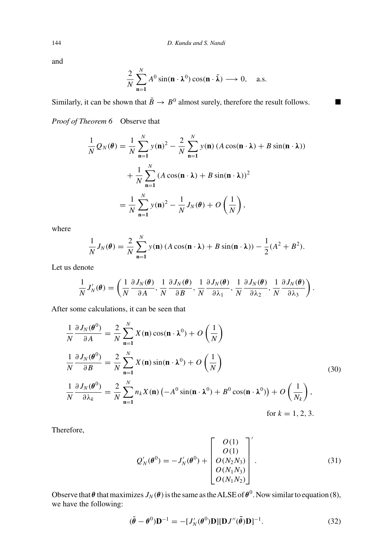and

$$
\frac{2}{N}\sum_{n=1}^{N} A^0 \sin(n \cdot \lambda^0) \cos(n \cdot \tilde{\lambda}) \longrightarrow 0, \quad \text{a.s.}
$$

Similarly, it can be shown that  $\tilde{B} \to B^0$  almost surely, therefore the result follows. *Proof of Theorem 6* Observe that

$$
\frac{1}{N}Q_N(\theta) = \frac{1}{N} \sum_{n=1}^N y(n)^2 - \frac{2}{N} \sum_{n=1}^N y(n) (A \cos(n \cdot \lambda) + B \sin(n \cdot \lambda))
$$

$$
+ \frac{1}{N} \sum_{n=1}^N (A \cos(n \cdot \lambda) + B \sin(n \cdot \lambda))^2
$$

$$
= \frac{1}{N} \sum_{n=1}^N y(n)^2 - \frac{1}{N} J_N(\theta) + O\left(\frac{1}{N}\right),
$$

where

$$
\frac{1}{N}J_N(\boldsymbol{\theta}) = \frac{2}{N}\sum_{n=1}^N y(\mathbf{n}) (A\cos(\mathbf{n}\cdot\lambda) + B\sin(\mathbf{n}\cdot\lambda)) - \frac{1}{2}(A^2 + B^2).
$$

Let us denote

$$
\frac{1}{N}J'_{N}(\boldsymbol{\theta})=\left(\frac{1}{N}\frac{\partial J_{N}(\boldsymbol{\theta})}{\partial A},\frac{1}{N}\frac{\partial J_{N}(\boldsymbol{\theta})}{\partial B},\frac{1}{N}\frac{\partial J_{N}(\boldsymbol{\theta})}{\partial \lambda_{1}},\frac{1}{N}\frac{\partial J_{N}(\boldsymbol{\theta})}{\partial \lambda_{2}},\frac{1}{N}\frac{\partial J_{N}(\boldsymbol{\theta})}{\partial \lambda_{3}}\right).
$$

After some calculations, it can be seen that

$$
\frac{1}{N} \frac{\partial J_N(\theta^0)}{\partial A} = \frac{2}{N} \sum_{n=1}^N X(n) \cos(n \cdot \lambda^0) + O\left(\frac{1}{N}\right)
$$
\n
$$
\frac{1}{N} \frac{\partial J_N(\theta^0)}{\partial B} = \frac{2}{N} \sum_{n=1}^N X(n) \sin(n \cdot \lambda^0) + O\left(\frac{1}{N}\right)
$$
\n
$$
\frac{1}{N} \frac{\partial J_N(\theta^0)}{\partial \lambda_k} = \frac{2}{N} \sum_{n=1}^N n_k X(n) \left(-A^0 \sin(n \cdot \lambda^0) + B^0 \cos(n \cdot \lambda^0)\right) + O\left(\frac{1}{N_k}\right),
$$
\nfor  $k = 1, 2, 3$ .

Therefore,

$$
Q'_{N}(\boldsymbol{\theta}^{0}) = -J'_{N}(\boldsymbol{\theta}^{0}) + \begin{bmatrix} O(1) \\ O(1) \\ O(N_{2}N_{3}) \\ O(N_{1}N_{3}) \\ O(N_{1}N_{2}) \end{bmatrix}.
$$
 (31)

Observe that  $\theta$  that maximizes  $J_N(\theta)$  is the same as the ALSE of  $\theta^0$ . Now similar to equation (8), we have the following:

$$
(\tilde{\boldsymbol{\theta}} - \boldsymbol{\theta}^0) \mathbf{D}^{-1} = -[J_N'(\boldsymbol{\theta}^0) \mathbf{D}][\mathbf{D}J''(\bar{\boldsymbol{\theta}}) \mathbf{D}]^{-1}.
$$
 (32)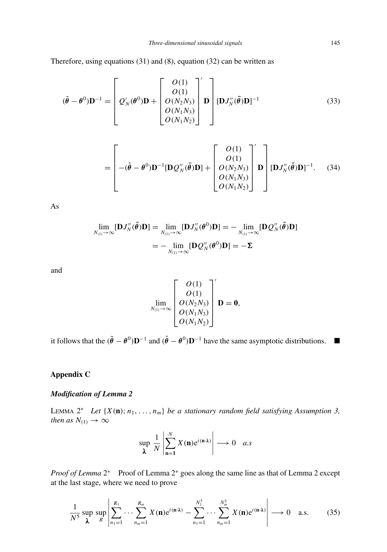Therefore, using equations (31) and (8), equation (32) can be written as

$$
(\tilde{\boldsymbol{\theta}} - \boldsymbol{\theta}^0)\mathbf{D}^{-1} = \begin{bmatrix} O(1) \\ O(1) \\ O(N_2N_3) \\ O(N_1N_3) \\ O(N_1N_2) \end{bmatrix} \mathbf{D} \begin{bmatrix} \mathbf{D}J''_N(\bar{\boldsymbol{\theta}})\mathbf{D} \end{bmatrix}^{-1}
$$
(33)

$$
= \begin{bmatrix} -(\hat{\boldsymbol{\theta}} - \boldsymbol{\theta}^{0})\mathbf{D}^{-1}[\mathbf{D}\mathcal{Q}_{N}''(\vec{\boldsymbol{\theta}})\mathbf{D}] + \begin{bmatrix} O(1) \\ O(1) \\ O(N_{2}N_{3}) \\ O(N_{1}N_{3}) \\ O(N_{1}N_{2}) \end{bmatrix} \mathbf{D} \end{bmatrix} [\mathbf{D}J_{N}''(\vec{\boldsymbol{\theta}})\mathbf{D}]^{-1}.
$$
 (34)

As

$$
\lim_{N_{(1)} \to \infty} [\mathbf{D} J_N''(\bar{\boldsymbol{\theta}}) \mathbf{D}] = \lim_{N_{(1)} \to \infty} [\mathbf{D} J_N''(\boldsymbol{\theta}^0) \mathbf{D}] = -\lim_{N_{(1)} \to \infty} [\mathbf{D} Q_N''(\bar{\boldsymbol{\theta}}) \mathbf{D}]
$$

$$
= -\lim_{N_{(1)} \to \infty} [\mathbf{D} Q_N''(\boldsymbol{\theta}^0) \mathbf{D}] = -\Sigma
$$

and

$$
\lim_{N_{(1)} \to \infty} \left[ \begin{array}{c} O(1) \\ O(1) \\ O(N_2N_3) \\ O(N_1N_3) \\ O(N_1N_2) \end{array} \right]^{\prime} \mathbf{D} = \mathbf{0},
$$

it follows that the  $(\tilde{\theta} - \theta^0)\mathbf{D}^{-1}$  and  $(\hat{\theta} - \theta^0)\mathbf{D}^{-1}$  have the same asymptotic distributions. ■

## **Appendix C**

## *Modification of Lemma 2*

LEMMA  $2^*$  *Let*  $\{X(\mathbf{n}); n_1, \ldots, n_m\}$  *be a stationary random field satisfying Assumption 3, then as*  $N_{(1)} \rightarrow \infty$ 

$$
\sup_{\lambda} \frac{1}{N} \left| \sum_{n=1}^{N} X(n) e^{i(n \cdot \lambda)} \right| \longrightarrow 0 \quad a.s
$$

*Proof of Lemma*  $2^*$  Proof of Lemma  $2^*$  goes along the same line as that of Lemma 2 except at the last stage, where we need to prove

$$
\frac{1}{N^5} \sup_{\lambda} \sup_{R} \left| \sum_{n_1=1}^{R_1} \cdots \sum_{n_m=1}^{R_m} X(\mathbf{n}) e^{i(\mathbf{n} \cdot \lambda)} - \sum_{n_1=1}^{N_1^5} \cdots \sum_{n_m=1}^{N_m^5} X(\mathbf{n}) e^{i(\mathbf{n} \cdot \lambda)} \right| \longrightarrow 0 \quad \text{a.s.}
$$
 (35)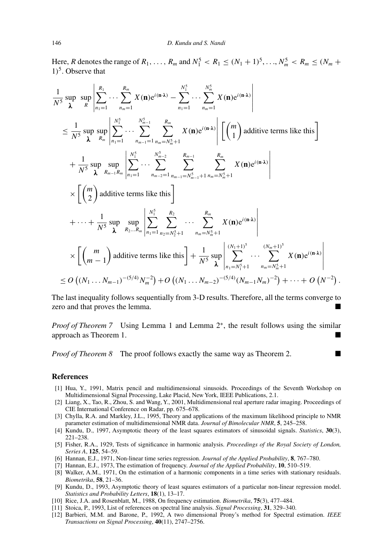Here, *R* denotes the range of  $R_1, ..., R_m$  and  $N_1^5 < R_1 \leq (N_1 + 1)^5, ..., N_m^5 < R_m \leq (N_m + 1)^5$ 1*)*5. Observe that

$$
\frac{1}{N^5} \sup_{\lambda} \sup_{R} \sup_{R} \left| \sum_{n_1=1}^{R_1} \cdots \sum_{n_m=1}^{R_m} X(\mathbf{n}) e^{i(\mathbf{n} \cdot \lambda)} - \sum_{n_1=1}^{N_1^5} \cdots \sum_{n_m=1}^{N_m^5} X(\mathbf{n}) e^{i(\mathbf{n} \cdot \lambda)} \right|
$$
\n
$$
\leq \frac{1}{N^5} \sup_{\lambda} \sup_{R_m} \sup_{n_1=1} \left| \sum_{n_1=1}^{N_1^5} \cdots \sum_{n_m=1}^{N_{m-1}^5} \sum_{n_m=N_m^5+1}^{R_m} X(\mathbf{n}) e^{i(\mathbf{n} \cdot \lambda)} \right| \left[ \binom{m}{1} \text{ additive terms like this} \right]
$$
\n
$$
+ \frac{1}{N^5} \sup_{\lambda} \sup_{R_{m-1}R_m} \left| \sum_{n_1=1}^{N_1^5} \cdots \sum_{n_{m-2}=1}^{N_{m-2}^5} \sum_{n_{m-1}=N_{m-1}^5+1}^{R_m} \sum_{n_m=N_m^5+1}^{R_m} X(\mathbf{n}) e^{i(\mathbf{n} \cdot \lambda)} \right|
$$
\n
$$
\times \left[ \binom{m}{2} \text{ additive terms like this} \right]
$$
\n
$$
+ \cdots + \frac{1}{N^5} \sup_{\lambda} \sup_{R_2...R_m} \left| \sum_{n_1=1}^{N_1^5} \sum_{n_2=N_2^5+1}^{R_2} \cdots \sum_{n_m=N_m^5+1}^{R_m} X(\mathbf{n}) e^{i(\mathbf{n} \cdot \lambda)} \right|
$$
\n
$$
\times \left[ \binom{m}{m-1} \text{ additive terms like this} \right] + \frac{1}{N^5} \sup_{\lambda} \left| \sum_{n_1=N_1^5+1}^{(N_1+1)^5} \cdots \sum_{n_m=N_m^5+1}^{(N_m+1)^5} X(\mathbf{n}) e^{i(\mathbf{n} \cdot \lambda)} \right|
$$
\n
$$
\leq O\left( (N_1 \ldots N_{m-1})^{-(5/4)} N_m^{-2} \right) + O\left( (N_1 \ldots N_{m-2})^{-(5/4)} (N
$$

The last inequality follows sequentially from 3-D results. Therefore, all the terms converge to zero and that proves the lemma.

*Proof of Theorem* 7 Using Lemma 1 and Lemma 2<sup>∗</sup>, the result follows using the similar approach as Theorem 1.

*Proof of Theorem 8* The proof follows exactly the same way as Theorem 2.

#### **References**

- [1] Hua, Y., 1991, Matrix pencil and multidimensional sinusoids. Proceedings of the Seventh Workshop on Multidimensional Signal Processing, Lake Placid, New York, IEEE Publications, 2.1.
- [2] Liang, X., Tao, R., Zhou, S. and Wang, Y., 2001, Multidimensional real aperture radar imaging. Proceedings of CIE International Conference on Radar, pp. 675–678.
- [3] Chylla, R.A. and Markley, J.L., 1995, Theory and applications of the maximum likelihood principle to NMR parameter estimation of multidimensional NMR data. *Journal of Bimolecular NMR*, **5**, 245–258.
- [4] Kundu, D., 1997, Asymptotic theory of the least squares estimators of sinusoidal signals. *Statistics*, **30**(3), 221–238.
- [5] Fisher, R.A., 1929, Tests of significance in harmonic analysis. *Proceedings of the Royal Society of London, Series A*, **125**, 54–59.
- [6] Hannan, E.J., 1971, Non-linear time series regression. *Journal of the Applied Probability*, **8**, 767–780.
- [7] Hannan, E.J., 1973, The estimation of frequency. *Journal of the Applied Probability*, **10**, 510–519.
- [8] Walker, A.M., 1971, On the estimation of a harmonic components in a time series with stationary residuals. *Biometrika*, **58**, 21–36.
- [9] Kundu, D., 1993, Asymptotic theory of least squares estimators of a particular non-linear regression model. *Statistics and Probability Letters*, **18**(1), 13–17.
- [10] Rice, J.A. and Rosenblatt, M., 1988, On frequency estimation. *Biometrika*, **75**(3), 477–484.
- [11] Stoica, P., 1993, List of references on spectral line analysis. *Signal Processing*, **31**, 329–340.
- [12] Barbieri, M.M. and Barone, P., 1992, A two dimensional Prony's method for Spectral estimation. *IEEE Transactions on Signal Processing*, **40**(11), 2747–2756.